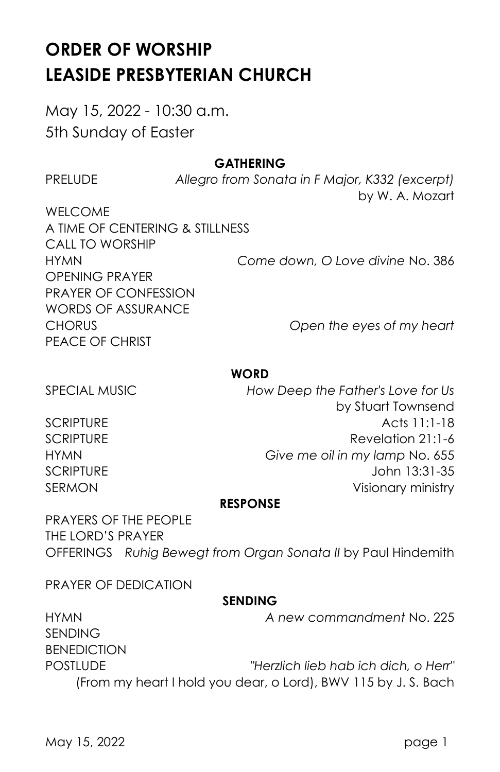# **ORDER OF WORSHIP LEASIDE PRESBYTERIAN CHURCH**

May 15, 2022 - 10:30 a.m. 5th Sunday of Easter

## **GATHERING**

PRELUDE *Allegro from Sonata in F Major, K332 (excerpt)* by W. A. Mozart

WELCOME A TIME OF CENTERING & STILLNESS CALL TO WORSHIP HYMN *Come down, O Love divine* No. 386 OPENING PRAYER PRAYER OF CONFESSION WORDS OF ASSURANCE CHORUS *Open the eyes of my heart* PEACE OF CHRIST

#### **WORD**

SPECIAL MUSIC *How Deep the Father's Love for Us* by Stuart Townsend SCRIPTURE **Acts** 11:1-18 SCRIPTURE Revelation 21:1-6 HYMN *Give me oil in my lamp* No. 655 SCRIPTURE John 13:31-35 SERMON Visionary ministry

#### **RESPONSE**

PRAYERS OF THE PEOPLE THE LORD'S PRAYER OFFERINGS *Ruhig Bewegt from Organ Sonata II* by Paul Hindemith

PRAYER OF DEDICATION

## **SENDING**

HYMN *A new commandment* No. 225 SENDING BENEDICTION POSTLUDE *"Herzlich lieb hab ich dich, o Herr"* (From my heart I hold you dear, o Lord), BWV 115 by J. S. Bach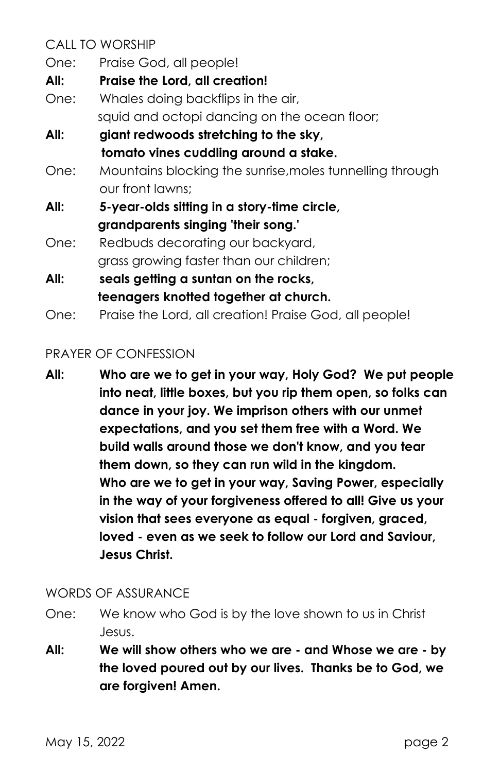CALL TO WORSHIP

- One: Praise God, all people!
- **All: Praise the Lord, all creation!**
- One: Whales doing backflips in the air, squid and octopi dancing on the ocean floor;
- **All: giant redwoods stretching to the sky, tomato vines cuddling around a stake.**
- One: Mountains blocking the sunrise,moles tunnelling through our front lawns;
- **All: 5-year-olds sitting in a story-time circle, grandparents singing 'their song.'**
- One: Redbuds decorating our backyard, grass growing faster than our children;
- **All: seals getting a suntan on the rocks, teenagers knotted together at church.**
- One: Praise the Lord, all creation! Praise God, all people!

## PRAYER OF CONFESSION

**All: Who are we to get in your way, Holy God? We put people into neat, little boxes, but you rip them open, so folks can dance in your joy. We imprison others with our unmet expectations, and you set them free with a Word. We build walls around those we don't know, and you tear them down, so they can run wild in the kingdom. Who are we to get in your way, Saving Power, especially in the way of your forgiveness offered to all! Give us your vision that sees everyone as equal - forgiven, graced, loved - even as we seek to follow our Lord and Saviour, Jesus Christ.**

WORDS OF ASSURANCE

- One: We know who God is by the love shown to us in Christ Jesus.
- **All: We will show others who we are - and Whose we are - by the loved poured out by our lives. Thanks be to God, we are forgiven! Amen.**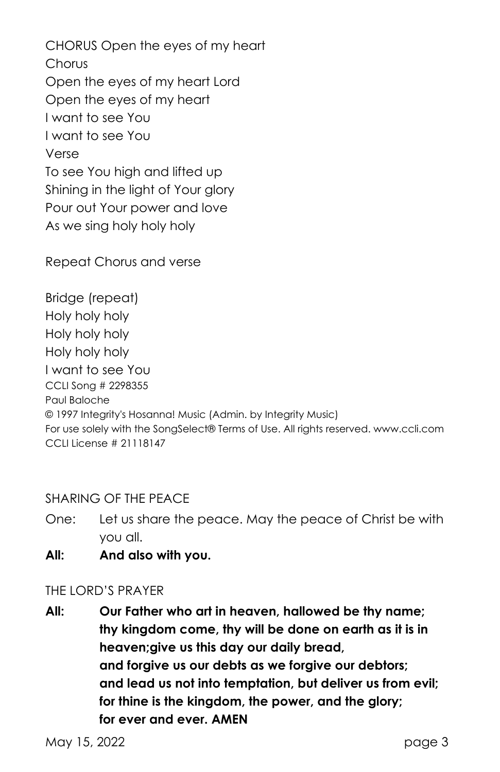CHORUS Open the eyes of my heart **Chorus** Open the eyes of my heart Lord Open the eyes of my heart I want to see You I want to see You Verse To see You high and lifted up Shining in the light of Your glory Pour out Your power and love As we sing holy holy holy

Repeat Chorus and verse

Bridge (repeat) Holy holy holy Holy holy holy Holy holy holy I want to see You CCLI Song # 2298355 Paul Baloche © 1997 Integrity's Hosanna! Music (Admin. by Integrity Music) For use solely with the SongSelect® Terms of Use. All rights reserved. www.ccli.com CCLI License # 21118147

## SHARING OF THE PEACE

- One: Let us share the peace. May the peace of Christ be with you all.
- **All: And also with you.**

#### THE LORD'S PRAYER

**All: Our Father who art in heaven, hallowed be thy name; thy kingdom come, thy will be done on earth as it is in heaven;give us this day our daily bread, and forgive us our debts as we forgive our debtors; and lead us not into temptation, but deliver us from evil; for thine is the kingdom, the power, and the glory; for ever and ever. AMEN**